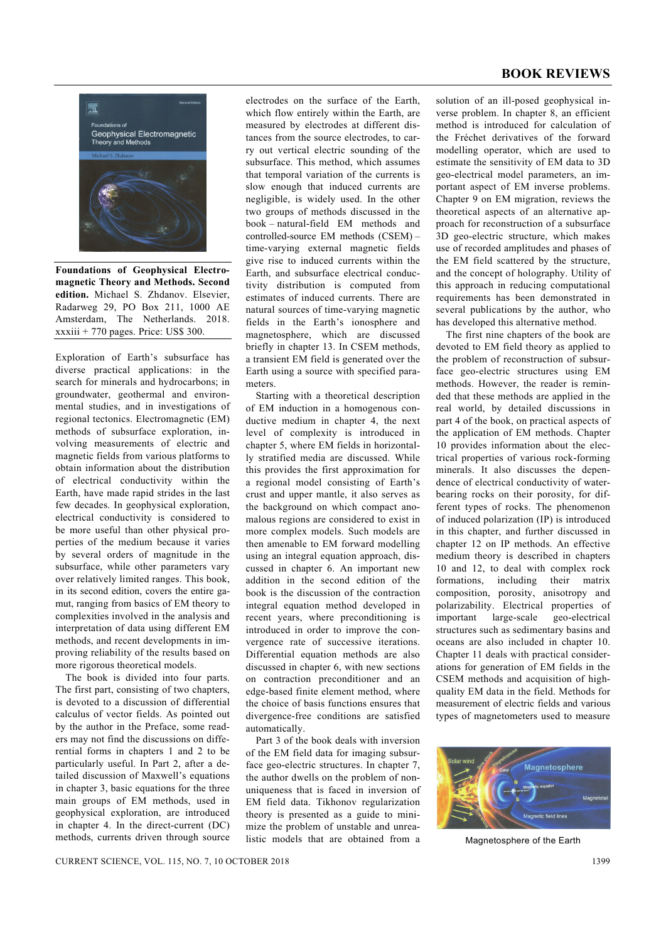## **BOOK REVIEWS**



**Foundations of Geophysical Electromagnetic Theory and Methods. Second edition.** Michael S. Zhdanov. Elsevier, Radarweg 29, PO Box 211, 1000 AE Amsterdam, The Netherlands. 2018.  $xxxiii + 770$  pages. Price: US\$ 300.

Exploration of Earth's subsurface has diverse practical applications: in the search for minerals and hydrocarbons; in groundwater, geothermal and environmental studies, and in investigations of regional tectonics. Electromagnetic (EM) methods of subsurface exploration, involving measurements of electric and magnetic fields from various platforms to obtain information about the distribution of electrical conductivity within the Earth, have made rapid strides in the last few decades. In geophysical exploration, electrical conductivity is considered to be more useful than other physical properties of the medium because it varies by several orders of magnitude in the subsurface, while other parameters vary over relatively limited ranges. This book, in its second edition, covers the entire gamut, ranging from basics of EM theory to complexities involved in the analysis and interpretation of data using different EM methods, and recent developments in improving reliability of the results based on more rigorous theoretical models.

 The book is divided into four parts. The first part, consisting of two chapters, is devoted to a discussion of differential calculus of vector fields. As pointed out by the author in the Preface, some readers may not find the discussions on differential forms in chapters 1 and 2 to be particularly useful. In Part 2, after a detailed discussion of Maxwell's equations in chapter 3, basic equations for the three main groups of EM methods, used in geophysical exploration, are introduced in chapter 4. In the direct-current (DC) methods, currents driven through source electrodes on the surface of the Earth, which flow entirely within the Earth, are measured by electrodes at different distances from the source electrodes, to carry out vertical electric sounding of the subsurface. This method, which assumes that temporal variation of the currents is slow enough that induced currents are negligible, is widely used. In the other two groups of methods discussed in the book – natural-field EM methods and controlled-source EM methods (CSEM) – time-varying external magnetic fields give rise to induced currents within the Earth, and subsurface electrical conductivity distribution is computed from estimates of induced currents. There are natural sources of time-varying magnetic fields in the Earth's ionosphere and magnetosphere, which are discussed briefly in chapter 13. In CSEM methods, a transient EM field is generated over the Earth using a source with specified parameters.

 Starting with a theoretical description of EM induction in a homogenous conductive medium in chapter 4, the next level of complexity is introduced in chapter 5, where EM fields in horizontally stratified media are discussed. While this provides the first approximation for a regional model consisting of Earth's crust and upper mantle, it also serves as the background on which compact anomalous regions are considered to exist in more complex models. Such models are then amenable to EM forward modelling using an integral equation approach, discussed in chapter 6. An important new addition in the second edition of the book is the discussion of the contraction integral equation method developed in recent years, where preconditioning is introduced in order to improve the convergence rate of successive iterations. Differential equation methods are also discussed in chapter 6, with new sections on contraction preconditioner and an edge-based finite element method, where the choice of basis functions ensures that divergence-free conditions are satisfied automatically.

 Part 3 of the book deals with inversion of the EM field data for imaging subsurface geo-electric structures. In chapter 7, the author dwells on the problem of nonuniqueness that is faced in inversion of EM field data. Tikhonov regularization theory is presented as a guide to minimize the problem of unstable and unrealistic models that are obtained from a

solution of an ill-posed geophysical inverse problem. In chapter 8, an efficient method is introduced for calculation of the Fréchet derivatives of the forward modelling operator, which are used to estimate the sensitivity of EM data to 3D geo-electrical model parameters, an important aspect of EM inverse problems. Chapter 9 on EM migration, reviews the theoretical aspects of an alternative approach for reconstruction of a subsurface 3D geo-electric structure, which makes use of recorded amplitudes and phases of the EM field scattered by the structure, and the concept of holography. Utility of this approach in reducing computational requirements has been demonstrated in several publications by the author, who has developed this alternative method.

 The first nine chapters of the book are devoted to EM field theory as applied to the problem of reconstruction of subsurface geo-electric structures using EM methods. However, the reader is reminded that these methods are applied in the real world, by detailed discussions in part 4 of the book, on practical aspects of the application of EM methods. Chapter 10 provides information about the electrical properties of various rock-forming minerals. It also discusses the dependence of electrical conductivity of waterbearing rocks on their porosity, for different types of rocks. The phenomenon of induced polarization (IP) is introduced in this chapter, and further discussed in chapter 12 on IP methods. An effective medium theory is described in chapters 10 and 12, to deal with complex rock formations, including their matrix composition, porosity, anisotropy and polarizability. Electrical properties of important large-scale geo-electrical structures such as sedimentary basins and oceans are also included in chapter 10. Chapter 11 deals with practical considerations for generation of EM fields in the CSEM methods and acquisition of highquality EM data in the field. Methods for measurement of electric fields and various types of magnetometers used to measure



Magnetosphere of the Earth